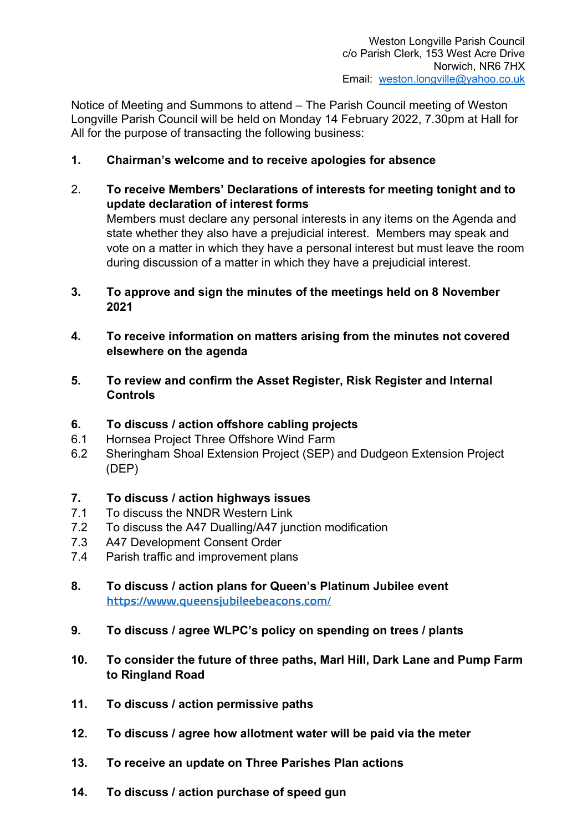Notice of Meeting and Summons to attend – The Parish Council meeting of Weston Longville Parish Council will be held on Monday 14 February 2022, 7.30pm at Hall for All for the purpose of transacting the following business:

- 1. Chairman's welcome and to receive apologies for absence
- 2. To receive Members' Declarations of interests for meeting tonight and to update declaration of interest forms Members must declare any personal interests in any items on the Agenda and state whether they also have a prejudicial interest. Members may speak and vote on a matter in which they have a personal interest but must leave the room during discussion of a matter in which they have a prejudicial interest.
- 3. To approve and sign the minutes of the meetings held on 8 November 2021
- 4. To receive information on matters arising from the minutes not covered elsewhere on the agenda
- 5. To review and confirm the Asset Register, Risk Register and Internal Controls
- 6. To discuss / action offshore cabling projects
- 6.1 Hornsea Project Three Offshore Wind Farm
- 6.2 Sheringham Shoal Extension Project (SEP) and Dudgeon Extension Project (DEP)

# 7. To discuss / action highways issues

- 7.1 To discuss the NNDR Western Link
- 7.2 To discuss the A47 Dualling/A47 junction modification
- 7.3 A47 Development Consent Order
- 7.4 Parish traffic and improvement plans
- 8. To discuss / action plans for Queen's Platinum Jubilee event https://www.queensjubileebeacons.com/
- 9. To discuss / agree WLPC's policy on spending on trees / plants
- 10. To consider the future of three paths, Marl Hill, Dark Lane and Pump Farm to Ringland Road
- 11. To discuss / action permissive paths
- 12. To discuss / agree how allotment water will be paid via the meter
- 13. To receive an update on Three Parishes Plan actions
- 14. To discuss / action purchase of speed gun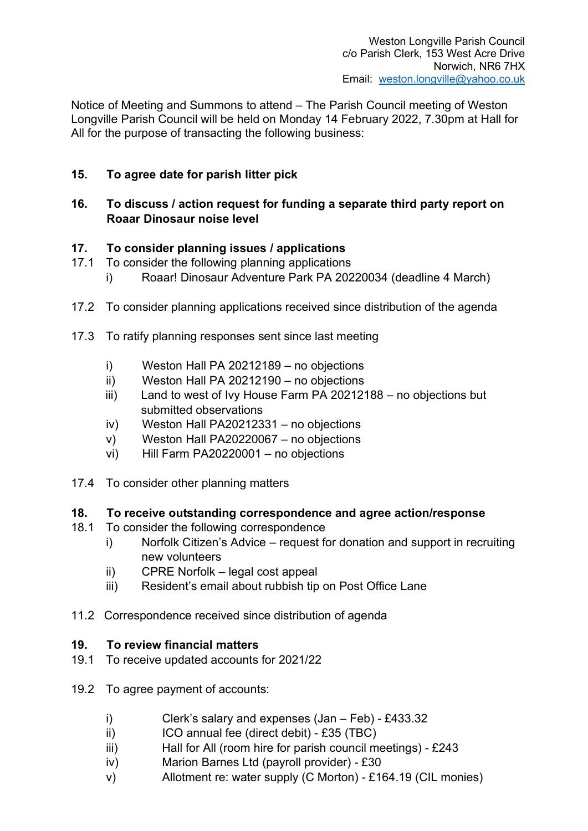Notice of Meeting and Summons to attend – The Parish Council meeting of Weston Longville Parish Council will be held on Monday 14 February 2022, 7.30pm at Hall for All for the purpose of transacting the following business:

# 15. To agree date for parish litter pick

## 16. To discuss / action request for funding a separate third party report on Roaar Dinosaur noise level

## 17. To consider planning issues / applications

- 17.1 To consider the following planning applications
	- i) Roaar! Dinosaur Adventure Park PA 20220034 (deadline 4 March)
- 17.2 To consider planning applications received since distribution of the agenda
- 17.3 To ratify planning responses sent since last meeting
	- i) Weston Hall PA 20212189 no objections
	- ii) Weston Hall PA 20212190 no objections
	- iii) Land to west of Ivy House Farm PA 20212188 no objections but submitted observations
	- iv) Weston Hall PA20212331 no objections
	- v) Weston Hall PA20220067 no objections
	- vi) Hill Farm PA20220001 no objections
- 17.4 To consider other planning matters

#### 18. To receive outstanding correspondence and agree action/response

- 18.1 To consider the following correspondence
	- i) Norfolk Citizen's Advice request for donation and support in recruiting new volunteers
	- ii) CPRE Norfolk legal cost appeal
	- iii) Resident's email about rubbish tip on Post Office Lane
- 11.2 Correspondence received since distribution of agenda

#### 19. To review financial matters

- 19.1 To receive updated accounts for 2021/22
- 19.2 To agree payment of accounts:
	- i) Clerk's salary and expenses (Jan Feb) £433.32
	- ii) ICO annual fee (direct debit) £35 (TBC)
	- iii) Hall for All (room hire for parish council meetings) £243
	- iv) Marion Barnes Ltd (payroll provider) £30
	- v) Allotment re: water supply (C Morton) £164.19 (CIL monies)